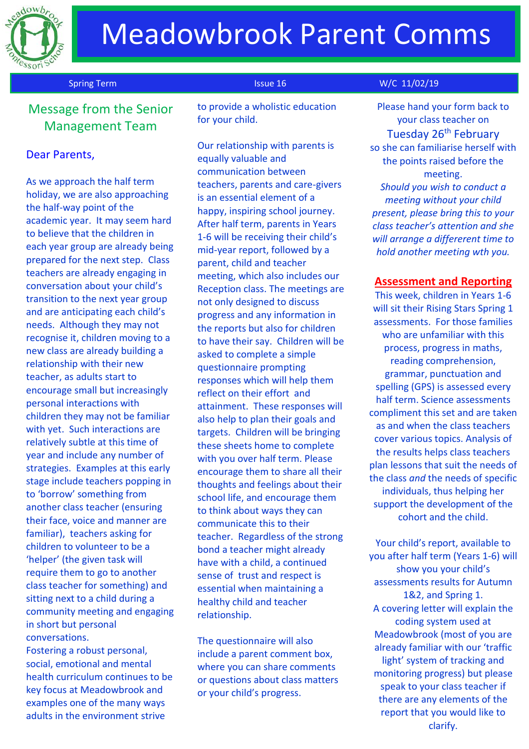

# Message from the Senior Management Team

### Dear Parents,

As we approach the half term holiday, we are also approaching the half-way point of the academic year. It may seem hard to believe that the children in each year group are already being prepared for the next step. Class teachers are already engaging in conversation about your child's transition to the next year group and are anticipating each child's needs. Although they may not recognise it, children moving to a new class are already building a relationship with their new teacher, as adults start to encourage small but increasingly personal interactions with children they may not be familiar with yet. Such interactions are relatively subtle at this time of year and include any number of strategies. Examples at this early stage include teachers popping in to 'borrow' something from another class teacher (ensuring their face, voice and manner are familiar), teachers asking for children to volunteer to be a 'helper' (the given task will require them to go to another class teacher for something) and sitting next to a child during a community meeting and engaging in short but personal conversations.

Fostering a robust personal, social, emotional and mental health curriculum continues to be key focus at Meadowbrook and examples one of the many ways adults in the environment strive

to provide a wholistic education for your child.

Our relationship with parents is equally valuable and communication between teachers, parents and care-givers is an essential element of a happy, inspiring school journey. After half term, parents in Years 1-6 will be receiving their child's mid-year report, followed by a parent, child and teacher meeting, which also includes our Reception class. The meetings are not only designed to discuss progress and any information in the reports but also for children to have their say. Children will be asked to complete a simple questionnaire prompting responses which will help them reflect on their effort and attainment. These responses will also help to plan their goals and targets. Children will be bringing these sheets home to complete with you over half term. Please encourage them to share all their thoughts and feelings about their school life, and encourage them to think about ways they can communicate this to their teacher. Regardless of the strong bond a teacher might already have with a child, a continued sense of trust and respect is essential when maintaining a healthy child and teacher relationship.

The questionnaire will also include a parent comment box, where you can share comments or questions about class matters or your child's progress.

### Spring Term Issue 16 W/C 11/02/19

Please hand your form back to your class teacher on Tuesday 26<sup>th</sup> February so she can familiarise herself with the points raised before the meeting. *Should you wish to conduct a meeting without your child present, please bring this to your class teacher's attention and she will arrange a differerent time to hold another meeting wth you.*

### **Assessment and Reporting**

This week, children in Years 1-6 will sit their Rising Stars Spring 1 assessments. For those families who are unfamiliar with this process, progress in maths, reading comprehension, grammar, punctuation and spelling (GPS) is assessed every half term. Science assessments compliment this set and are taken as and when the class teachers cover various topics. Analysis of the results helps class teachers plan lessons that suit the needs of the class *and* the needs of specific individuals, thus helping her support the development of the cohort and the child.

Your child's report, available to you after half term (Years 1-6) will show you your child's assessments results for Autumn 1&2, and Spring 1. A covering letter will explain the coding system used at Meadowbrook (most of you are already familiar with our 'traffic light' system of tracking and monitoring progress) but please speak to your class teacher if there are any elements of the report that you would like to clarify.